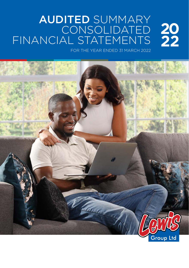#### AUDITED SUMMARY CONSOLIDATED FINANCIAL STATEMENTS

FOR THE YEAR ENDED 31 MARCH 2022

**20**

**22**

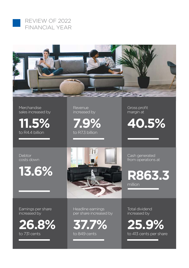



Merchandise sales increased by

**11.5%** to R4.4 billion

**Revenue** increased by

**7.9%** to R7.3 billion

Gross profit margin at

**40.5%**

Debtor costs down

**13.6%**



Earnings per share increased by



Headline earnings per share increased by

**37.7%** to 849 cents

Cash generated from operations at

**R863.3** million

Total dividend increased by

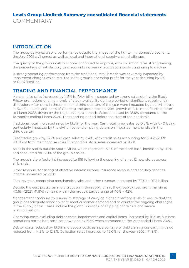#### INTRODUCTION

The group delivered a solid performance despite the impact of the tightening domestic economy, the July 2021 civil unrest as well as local and international supply chain challenges.

The quality of the group's debtors' book continued to improve, with collection rates strengthening, the percentage of satisfactory paid accounts increasing and debtor costs continuing to decline.

A strong operating performance from the traditional retail brands was adversely impacted by impairment charges which resulted in the group's operating profit for the year declining by 4% to R6679 million

#### TRADING AND FINANCIAL PERFORMANCE

Merchandise sales increased by 11.5% to R4.4 billion, supported by strong sales during the Black Friday promotions and high levels of stock availability during a period of significant supply chain disruption. After sales in the second and third quarters of the year were impacted by the civil unrest in KwaZulu-Natal and parts of Gauteng, the group posted sales growth of 7.1% in the fourth quarter to March 2022, driven by the traditional retail brands. Sales increased by 18.9% compared to the 12 months ending March 2020, the reporting period before the start of the pandemic.

Traditional retail increased sales by 13.3% for the year. Cash retail grew sales by 0.5%, with UFO being particularly impacted by the civil unrest and shipping delays on imported merchandise in the third quarter.

Credit sales grew by 16.7% and cash sales by 6.4%, with credit sales accounting for 51.4% (2021: 49.1%) of total merchandise sales. Comparable store sales increased by 9.2%.

Sales in the stores outside South Africa, which represent 15.8% of the store base, increased by 11.9% and accounted for 17.9% of the group's sales.

The group's store footprint increased to 819 following the opening of a net 12 new stores across all brands.

Other revenue, consisting of effective interest income, insurance revenue and ancillary services income, increased by 2.8%.

Total revenue, comprising merchandise sales and other revenue, increased by 7.9% to R7.3 billion.

Despite the cost pressures and disruption in the supply chain, the group's gross profit margin at 40.5% (2021: 41.8%) remains within the group's target range of 40% – 42%.

Management continues to pursue its strategy of carrying higher inventory levels to ensure that the group has adequate stock cover to meet customer demand and to counter the ongoing challenges in the supply chain. These include the global shortage of shipping containers and severe port congestion.

Operating costs excluding debtor costs, impairments and capital items, increased by 10% as business operations normalised post lockdown and by 6.5% when compared to the year ended March 2020.

Debtor costs reduced by 13.6% and debtor costs as a percentage of debtors at gross carrying value reduced from 14.3% to 12.3%. Collection rates improved to 79.0% for the year (2021: 71.8%).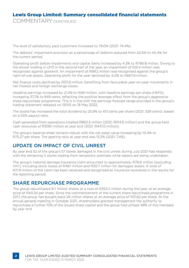COMMENTARY CONTINUED

The level of satisfactory paid customers increased to 79.0% (2021: 74.4%).

The debtors' impairment provision as a percentage of debtors reduced from 42.6% to 40.4% for the current period.

Operating profit before impairments and capital items increased by 4.3% to R766.8 million. Owing to the slower trading in UFO in the second half of the year, an impairment of R31.4 million was recognised against goodwill. An impairment of R99.2 million was recognised against the group's right-of-use assets. Operating profit for the year declined by 4.0% to R667.9 million.

Net finance costs declined by R101.6 million, benefiting from favourable year-on-year movements in net interest and foreign exchange losses.

Headline earnings increased by 21.2% to R561 million, with headline earnings per share (HEPS) increasing 37.7% to 849 cents, reflecting the positive leverage effect from the group's aggressive share repurchase programme. This is in line with the earnings forecast range provided in the group's trading statement released on SENS on 18 May 2022.

The board has increased the total dividend by 25.9% to 413 cents per share (2021: 328 cents), based on a 55% payout ratio.

Cash generated from operations totalled R863.3 million (2021: R914.6 million) and the group held cash resources of R308.1 million at year end (2021: R447.0 million).

The group's balance sheet remains robust with the net asset value increasing by 10.4% to R75.27 per share. The gearing ratio at year end was 15.3% (2021: 7.4%).

#### UPDATE ON IMPACT OF CIVIL UNREST

By year end 52 of the group's 57 stores damaged in the civil unrest during July 2021 had reopened, with the remaining 5 stores trading from temporary premises while repairs are being undertaken.

The group's material damage insurance claim amounted to approximately R78.8 million (excluding VAT), including stock losses of R48.1 million and R30.7 million for damaged assets. A total of R71.9 million of the claim has been received and recognised as insurance recoveries in the results for the reporting period.

#### SHARE REPURCHASE PROGRAMME

The group repurchased 8.7 million shares at a cost of R353.2 million during the year, at an average price of R40.34 per share. Since the commencement of the current share repurchase programme in 2017, the group has bought back 26 million shares at an average price of R31.82 per share. At the annual general meeting in October 2021, shareholders granted management the authority to repurchase a further 10% of the issued share capital and the group had utilised 48% of this mandate by year end.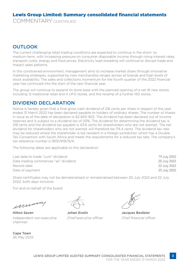COMMENTARY CONTINUED

#### **OUTLOOK**

The current challenging retail trading conditions are expected to continue in the short- to medium-term, with increasing pressure on consumer disposable income through rising interest rates, transport costs, energy and food prices. Electricity load shedding will continue to disrupt trade and impact sales patterns.

In this constrained environment, management aims to increase market share through innovative marketing strategies, supported by new merchandise ranges across all brands and high levels of stock availability. The sales and collections momentum for the fourth quarter of the 2022 financial year has continued into the start of the new financial year.

The group will continue to expand its store base with the planned opening of a net 16 new stores, including 12 traditional retail and 4 UFO stores, and the revamp of a further 150 stores.

#### DIVIDEND DECLARATION

Notice is hereby given that a final gross cash dividend of 218 cents per share in respect of the year ended 31 March 2022 has been declared payable to holders of ordinary shares. The number of shares in issue as of the date of declaration is 62 840 903. The dividend has been declared out of income reserves and is subject to a dividend tax of 20%. The dividend for determining the dividend tax is 218 cents and the dividend tax payable is 43.6 cents for shareholders who are not exempt. The net dividend for shareholders who are not exempt will therefore be 174.4 cents. The dividend tax rate may be reduced where the shareholder is tax resident in a foreign jurisdiction which has a Double Tax Convention with South Africa and meets the requirements for a reduced tax rate. The company's tax reference number is 9551/419/15/4.

The following dates are applicable to this declaration:

| Last date to trade "cum" dividend    | 19 July 2022 |
|--------------------------------------|--------------|
| Date trading commences "ex" dividend | 20 July 2022 |
| Record date                          | 22 July 2022 |
| Date of payment                      | 25 July 2022 |

Share certificates may not be dematerialised or rematerialised between 20 July 2022 and 22 July 2022, both days inclusive.

For and on behalf of the board

inning

Hilton Saven Johan Enslin Jacques Bestbier *Independent non-executive chairman*

Cape Town 26 May 2022

*Chief executive officer Chief financial officer*

**3**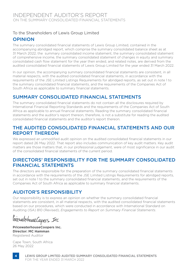#### To the Shareholders of Lewis Group Limited

#### OPINION

The summary consolidated financial statements of Lewis Group Limited, contained in the accompanying abridged report, which comprise the summary consolidated balance sheet as at 31 March 2022, the summary consolidated income statement, the summary consolidated statement of comprehensive income, the summary consolidated statement of changes in equity and summary consolidated cash flow statement for the year then ended, and related notes, are derived from the audited consolidated financial statements of Lewis Group Limited for the year ended 31 March 2022.

In our opinion, the accompanying summary consolidated financial statements are consistent, in all material respects, with the audited consolidated financial statements, in accordance with the requirements of the JSE Limited Listings Requirements for abridged reports, as set out in note 1 to the summary consolidated financial statements, and the requirements of the Companies Act of South Africa as applicable to summary financial statements.

#### SUMMARY CONSOLIDATED FINANCIAL STATEMENTS

The summary consolidated financial statements do not contain all the disclosures required by International Financial Reporting Standards and the requirements of the Companies Act of South Africa as applicable to annual financial statements. Reading the summary consolidated financial statements and the auditor's report thereon, therefore, is not a substitute for reading the audited consolidated financial statements and the auditor's report thereon.

#### THE AUDITED CONSOLIDATED FINANCIAL STATEMENTS AND OUR REPORT THEREON

We expressed an unmodified audit opinion on the audited consolidated financial statements in our report dated 26 May 2022. That report also includes communication of key audit matters. Key audit matters are those matters that, in our professional judgement, were of most significance in our audit of the consolidated financial statements of the current period.

#### DIRECTORS' RESPONSIBILITY FOR THE SUMMARY CONSOLIDATED FINANCIAL STATEMENTS

The directors are responsible for the preparation of the summary consolidated financial statements in accordance with the requirements of the JSE Limited Listings Requirements for abridged reports, set out in note 1 to the summary consolidated financial statements, and the requirements of the Companies Act of South Africa as applicable to summary financial statements.

#### AUDITOR'S RESPONSIBILITY

Our responsibility is to express an opinion on whether the summary consolidated financial statements are consistent, in all material respects, with the audited consolidated financial statements based on our procedures, which were conducted in accordance with International Standard on Auditing (ISA) 810 (Revised), *Engagements to Report on Summary Financial Statements*.

PriewatchcuseCapers Inc

**PricewaterhouseCoopers Inc. Director: MC Hamman** Registered Auditor

Cape Town, South Africa 26 May 2022

**4**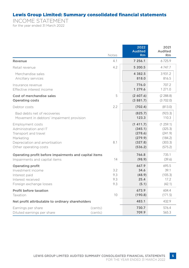INCOME STATEMENT for the year ended 31 March 2022

|                                                                                                        | Notes                    | 2022<br><b>Audited</b><br>Rm             | 2021<br>Audited<br><b>Rm</b>               |
|--------------------------------------------------------------------------------------------------------|--------------------------|------------------------------------------|--------------------------------------------|
| Revenue                                                                                                | 4.1                      | 7 256.1                                  | 6725.9                                     |
| Retail revenue                                                                                         | 4.2                      | 5 200.5                                  | 4 7 4 7 .7                                 |
| Merchandise sales                                                                                      |                          | 4 3 8 2.5                                | 3931.2                                     |
| Ancillary services                                                                                     |                          | 818.0                                    | 816.5                                      |
| Insurance revenue                                                                                      |                          | 776.0                                    | 707.2                                      |
| Effective interest income                                                                              |                          | 1 279.6                                  | 1 271.0                                    |
| Cost of merchandise sales                                                                              | 5                        | (2,607.6)                                | (2 288.8)                                  |
| Operating costs                                                                                        |                          | (3881.7)                                 | (3702.0)                                   |
| Debtor costs                                                                                           | 2.2                      | (702.4)                                  | (813.0)                                    |
| Bad debts net of recoveries                                                                            |                          | (825.7)                                  | (923.3)                                    |
| Movement in debtors' impairment provision                                                              |                          | 123.3                                    | 110.3                                      |
| Employment costs                                                                                       | 8.1                      | (1411.7)                                 | (1259.1)                                   |
| Administration and IT                                                                                  |                          | (345.1)                                  | (325.3)                                    |
| Transport and travel                                                                                   |                          | (278.6)                                  | (241.9)                                    |
| Marketing                                                                                              |                          | (279.9)                                  | (184.2)                                    |
| Depreciation and amortisation                                                                          |                          | (327.8)                                  | (303.3)                                    |
| Other operating costs                                                                                  |                          | (536.2)                                  | (575.2)                                    |
| Operating profit before impairments and capital items                                                  | 14                       | 766.8                                    | 735.1                                      |
| Impairments and capital items                                                                          |                          | (98.9)                                   | (39.6)                                     |
| Operating profit<br>Investment income<br>Interest paid<br>Interest received<br>Foreign exchange losses | 3.2<br>9.3<br>9.3<br>9.3 | 667.9<br>34.6<br>(48.9)<br>25.4<br>(5.1) | 695.5<br>39.1<br>(105.3)<br>17.2<br>(42.1) |
| Profit before taxation                                                                                 | 10                       | 673.9                                    | 604.4                                      |
| Taxation                                                                                               |                          | (190.8)                                  | (171.5)                                    |
| Net profit attributable to ordinary shareholders                                                       |                          | 483.1                                    | 432.9                                      |
| Earnings per share                                                                                     | (cents)                  | 730.7                                    | 576.4                                      |
| Diluted earnings per share                                                                             | (cents)                  | 709.9                                    | 565.3                                      |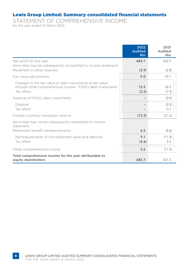STATEMENT OF COMPREHENSIVE INCOME for the year ended 31 March 2022

|                                                                                                                                          | 2022<br><b>Audited</b><br>Rm | 2021<br>Audited<br><b>Rm</b> |
|------------------------------------------------------------------------------------------------------------------------------------------|------------------------------|------------------------------|
| Net profit for the year<br>Items that may be subsequently reclassified to income statement:<br>Movement in other reserves                | 483.1                        | 432.9                        |
| Fair value adjustments                                                                                                                   | (3.9)<br>9.0                 | (2.8)<br>19.1                |
| Changes in the fair value of debt instruments at fair value<br>through other comprehensive income - FVOCI debt investments<br>Tax effect | 12.5<br>(3.5)                | 26.5<br>(7.4)                |
| Disposal of FVOCI debt investments                                                                                                       |                              | (0.4)                        |
| Disposal<br>Tax effect                                                                                                                   |                              | (0.5)<br>0.1                 |
| Foreign currency translation reserve                                                                                                     | (12.9)                       | (21.5)                       |
| Items that may not be subsequently reclassified to income<br>statement:<br>Retirement benefit remeasurements                             | 6.5                          | (8.6)                        |
| Remeasurements of the retirement asset and liabilities<br>Tax effect                                                                     | 9.1<br>(2.6)                 | (11.9)<br>3.3                |
| Other comprehensive income                                                                                                               | 2.6                          | (11.4)                       |
| Total comprehensive income for the year attributable to<br>equity shareholders                                                           | 485.7                        | 421.5                        |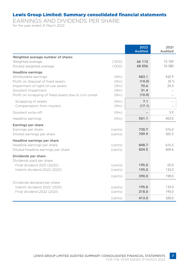EARNINGS AND DIVIDENDS PER SHARE for the year ended 31 March 2022

|                                                                 | 2022<br><b>Audited</b> | 2021<br>Audited |
|-----------------------------------------------------------------|------------------------|-----------------|
| Weighted average number of shares                               |                        |                 |
| Weighted average<br>(1000)                                      | 66 112                 | 75 109          |
| (1000)<br>Diluted weighted average                              | 68 056                 | 76 580          |
| <b>Headline earnings</b>                                        |                        |                 |
| Attributable earnings<br>(Rm)                                   | 483.1                  | 432.9           |
| Profit on disposal of fixed assets<br>(Rm)                      | (14.0)                 | (0.1)           |
| Impairment of right-of-use assets<br>(Rm)                       | 70.6                   | 24.3            |
| Goodwill impairment<br>(Rm)                                     | 31.4                   |                 |
| Profit on scrapping of fixed assets due to civil unrest<br>(Rm) | (10.0)                 |                 |
| (Rm)<br>Scrapping of assets                                     | 7.1                    |                 |
| Compensation from insurers<br>(Rm)                              | (17.1)                 |                 |
| Goodwill write-off<br>(Rm)                                      | $\qquad \qquad -$      | 5.9             |
| Headline earnings<br>(Rm)                                       | 561.1                  | 463.0           |
| Earnings per share                                              |                        |                 |
| Earnings per share<br>(cents)                                   | 730.7                  | 576.4           |
| Diluted earnings per share<br>(cents)                           | 709.9                  | 565.3           |
| Headline earnings per share                                     |                        |                 |
| Headline earnings per share<br>(cents)                          | 848.7                  | 616.5           |
| Diluted headline earnings per share<br>(cents)                  | 824.5                  | 604.6           |
| Dividends per share<br>Dividends paid per share                 |                        |                 |
| Final dividend 2021 (2020)<br>(cents)                           | 195.0                  | 65.0            |
| Interim dividend 2022 (2021)<br>(cents)                         | 195.0                  | 133.0           |
| (cents)                                                         | 390.0                  | 198.0           |
| Dividends declared per share                                    |                        |                 |
| Interim dividend 2022 (2021)<br>(cents)                         | 195.0                  | 133.0           |
| Final dividend 2022 (2021)<br>(cents)                           | 218.0                  | 195.0           |
| (cents)                                                         | 413.0                  | 328.0           |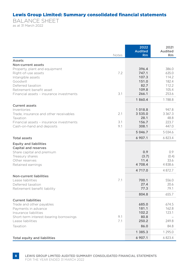BALANCE SHEET as at 31 March 2022

|                                                                 | Notes | 2022<br><b>Audited</b><br>Rm | 2021<br>Audited<br><b>Rm</b> |
|-----------------------------------------------------------------|-------|------------------------------|------------------------------|
| Assets                                                          |       |                              |                              |
| Non-current assets                                              |       |                              |                              |
| Property, plant and equipment                                   |       | 396.4                        | 386.0                        |
| Right-of-use assets                                             | 7.2   | 747.1                        | 635.0                        |
| Intangible assets                                               |       | 107.3                        | 114.2                        |
| Goodwill<br>Deferred taxation                                   |       | 151.0<br>82.7                | 182.4<br>112.2               |
| Retirement benefit asset                                        |       | 109.8                        | 105.4                        |
| Financial assets - insurance investments                        | 3.1   | 266.1                        | 253.6                        |
|                                                                 |       | 1860.4                       | 1788.8                       |
| <b>Current assets</b>                                           |       |                              |                              |
| Inventories                                                     |       | 1 018.8                      | 947.8                        |
| Trade, insurance and other receivables                          | 2.1   | 3 535.0                      | 3 3 6 7 . 3                  |
| Taxation<br>Financial assets - insurance investments            | 3.1   | 28.1<br>156.7                | 48.8<br>223.7                |
| Cash-on-hand and deposits                                       | 9.1   | 308.1                        | 447.0                        |
|                                                                 |       | 5 046.7                      | 5 0 3 4 . 6                  |
| Total assets                                                    |       | 6 907.1                      | 6 823.4                      |
| <b>Equity and liabilities</b>                                   |       |                              |                              |
| Capital and reserves                                            |       |                              |                              |
| Share capital and premium                                       |       | 0.9                          | 0.9                          |
| Treasury shares<br>Other reserves                               |       | (3.7)<br>11.4                | (0.4)<br>33.6                |
| Retained earnings                                               |       | 4708.4                       | 4838.6                       |
|                                                                 |       | 4 7 1 7 .0                   | 4 872.7                      |
| <b>Non-current liabilities</b>                                  |       |                              |                              |
| Lease liabilities                                               | 7.1   | 700.1                        | 556.0                        |
| Deferred taxation                                               |       | 27.4                         | 20.6                         |
| Retirement benefit liability                                    |       | 77.3                         | 79.1                         |
|                                                                 |       | 804.8                        | 655.7                        |
| <b>Current liabilities</b>                                      |       |                              |                              |
| Trade and other payables                                        |       | 685.0                        | 674.5                        |
| Payments in advance                                             |       | 181.1<br>102.2               | 162.8<br>123.1               |
| Insurance liabilities<br>Short-term interest-bearing borrowings | 9.1   | 80.8                         |                              |
| Lease liabilities                                               | 7.1   | 250.2                        | 249.8                        |
| Taxation                                                        |       | 86.0                         | 84.8                         |
|                                                                 |       | 1 385.3                      | 1 295.0                      |
| Total equity and liabilities                                    |       | 6 907.1                      | 6823.4                       |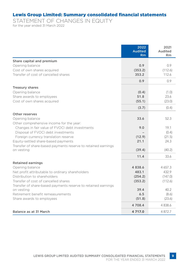STATEMENT OF CHANGES IN EQUITY for the year ended 31 March 2022

|                                                                             | 2022<br><b>Audited</b><br>Rm | 2021<br>Audited<br><b>Rm</b> |
|-----------------------------------------------------------------------------|------------------------------|------------------------------|
| Share capital and premium                                                   |                              |                              |
| Opening balance                                                             | 0.9                          | 0.9                          |
| Cost of own shares acquired                                                 | (353.2)                      | (112.6)                      |
| Transfer of cost of cancelled shares                                        | 353.2                        | 112.6                        |
|                                                                             | 0.9                          | 0.9                          |
| <b>Treasury shares</b>                                                      |                              |                              |
| Opening balance                                                             | (0.4)                        | (1.0)                        |
| Share awards to employees                                                   | 51.8                         | 23.6                         |
| Cost of own shares acquired                                                 | (55.1)                       | (23.0)                       |
|                                                                             | (3.7)                        | (0.4)                        |
| Other reserves                                                              |                              |                              |
| Opening balance                                                             | 33.6                         | 52.3                         |
| Other comprehensive income for the year:                                    |                              |                              |
| Changes in fair value of FVOCI debt investments                             | 9.0                          | 19.1                         |
| Disposal of FVOCI debt investments                                          |                              | (0.4)                        |
| Foreign currency translation reserve                                        | (12.9)                       | (21.5)                       |
| Equity-settled share-based payments                                         | 21.1                         | 24.3                         |
| Transfer of share-based payments reserve to retained earnings               |                              |                              |
| on vesting                                                                  | (39.4)                       | (40.2)                       |
|                                                                             | 11.4                         | 33.6                         |
| <b>Retained earnings</b>                                                    |                              |                              |
| Opening balance                                                             | 4838.6                       | 4 6 5 7 . 3                  |
| Net profit attributable to ordinary shareholders                            | 483.1                        | 432.9                        |
| Distribution to shareholders                                                | (254.2)                      | (147.0)                      |
| Transfer of cost of cancelled shares                                        | (353.2)                      | (112.6)                      |
| Transfer of share-based payments reserve to retained earnings<br>on vesting | 39.4                         | 40.2                         |
| Retirement benefit remeasurements                                           | 6.5                          | (8.6)                        |
| Share awards to employees                                                   | (51.8)                       | (23.6)                       |
|                                                                             | 4 708.4                      | 4 8 3 8.6                    |
| Balance as at 31 March                                                      | 4 717.0                      | 4872.7                       |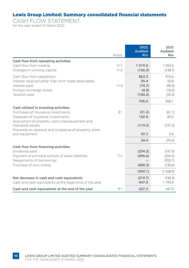CASH FLOW STATEMENT for the year ended 31 March 2022

|                                                                        | Notes | 2022<br><b>Audited</b><br>Rm | 2021<br>Audited<br><b>Rm</b> |
|------------------------------------------------------------------------|-------|------------------------------|------------------------------|
| Cash flow from operating activities                                    |       |                              |                              |
| Cash flow from trading                                                 | 11.1  | 1 0 1 9 . 5                  | 1 0 5 3 . 3                  |
| Changes in working capital                                             | 11.2  | (156.2)                      | (138.7)                      |
| Cash flow from operations                                              |       | 863.3                        | 914.6                        |
| Interest received other than from trade receivables                    |       | 25.4                         | 55.8                         |
| Interest paid                                                          | 11.3  | (74.7)                       | (90.4)                       |
| Foreign exchange losses                                                |       | (4.8)                        | (16.6)                       |
| Taxation paid                                                          |       | (104.2)                      | (55.3)                       |
|                                                                        |       | 705.0                        | 808.1                        |
| Cash utilised in investing activities                                  |       |                              |                              |
| Purchases of insurance investments                                     | 3.1   | (51.2)                       | (61.1)                       |
| Disposals of insurance investments                                     |       | 152.8                        | 84.2                         |
| Acquisition of property, plant and equipment and                       |       |                              |                              |
| intangible assets                                                      |       | (119.5)                      | (121.3)                      |
| Proceeds on disposal and scrapping of property, plant<br>and equipment |       | 52.3                         | 2.6                          |
|                                                                        |       | 34.4                         | (95.6)                       |
| Cash flow from financing activities                                    |       |                              |                              |
| Dividends paid                                                         |       | (254.2)                      | (147.0)                      |
| Payment of principal portion of lease liabilities                      | 7.1   | (296.6)                      | (254.2)                      |
| Repayments of borrowings                                               |       |                              | (922.1)                      |
| Purchase of own shares                                                 |       | (408.3)                      | (135.6)                      |
|                                                                        |       | (959.1)                      | (1458.9)                     |
| Net decrease in cash and cash equivalents                              |       | (219.7)                      | (746.4)                      |
| Cash and cash equivalents at the beginning of the year                 |       | 447.0                        | 1 1 9 3 . 4                  |
| Cash and cash equivalents at the end of the year                       | 9.1   | 227.3                        | 447.0                        |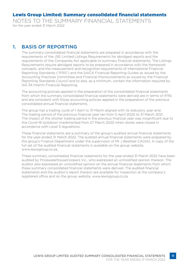NOTES TO THE SUMMARY FINANCIAL STATEMENTS for the year ended 31 March 2022

#### 1. BASIS OF REPORTING

The summary consolidated financial statements are prepared in accordance with the requirements of the JSE Limited Listings Requirements for abridged reports and the requirements of the Companies Act applicable to summary financial statements. The Listings Requirements require abridged reports to be prepared in accordance with the framework concepts; and the measurement and recognition requirements of International Financial Reporting Standards ("IFRS") and the SAICA Financial Reporting Guides as issued by the Accounting Practices Committee and Financial Pronouncements as issued by the Financial Reporting Standards Council and to also, as a minimum, contain the information required by IAS 34 Interim Financial Reporting.

The accounting policies applied in the preparation of the consolidated financial statements from which the summary consolidated financial statements were derived are in terms of IFRS and are consistent with those accounting policies applied in the preparation of the previous consolidated annual financial statements.

The group has a trading cycle of 1 April to 31 March aligned with its statutory year-end. The trading period of the previous financial year ran from 5 April 2020 to 31 March 2021. The impact of the shorter trading period in the previous financial year was insignificant due to the Covid-19 lockdown implemented from 27 March 2020 when stores were closed in accordance with Level 5 regulations.

These financial statements are a summary of the group's audited annual financial statements for the year-ended 31 March 2022. The audited annual financial statements were prepared by the group's Finance Department under the supervision of Mr J Bestbier CA(SA). A copy of the full set of the audited financial statements is available on the group website, www.lewisgroup.co.za.

These summary consolidated financial statements for the year-ended 31 March 2022 have been audited by PricewaterhouseCoopers Inc., who expressed an unmodified opinion thereon. The auditor also expressed an unmodified opinion on the annual financial statements from which these summary consolidated financial statements were derived. The audited financial statements and the auditor's report thereon are available for inspection at the company's registered office and on the group website, www.lewisgroup.co.za.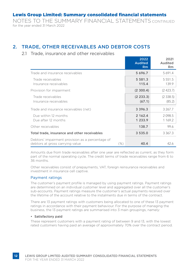NOTES TO THE SUMMARY FINANCIAL STATEMENTS CONTINUED for the year ended 31 March 2022

#### 2. TRADE, OTHER RECEIVABLES AND DEBTOR COSTS

#### 2.1 Trade, insurance and other receivables

|                                                                                     |         | 2022<br><b>Audited</b><br>Rm | 2021<br>Audited<br><b>Rm</b> |
|-------------------------------------------------------------------------------------|---------|------------------------------|------------------------------|
| Trade and insurance receivables                                                     |         | 5 6 9 6.7                    | 5691.4                       |
| Trade receivables<br>Insurance receivables                                          |         | 5 5 8 1 . 3<br>115.4         | 5 5 5 1 . 5<br>139.9         |
| Provision for impairment                                                            |         | (2, 300.4)                   | (2423.7)                     |
| Trade receivables<br>Insurance receivables                                          |         | (2, 233.3)<br>(67.1)         | (2338.5)<br>(85.2)           |
| Trade and insurance receivables (net)                                               |         | 3 3 9 6 . 3                  | 3 267.7                      |
| Due within 12 months<br>Due after 12 months                                         |         | 2 162.4<br>1 233.9           | 2098.5<br>1 169.2            |
| Other receivables                                                                   |         | 138.7                        | 99.6                         |
| Total trade, insurance and other receivables                                        |         | 3 5 3 5 .0                   | 3 3 6 7 . 3                  |
| Debtors' impairment provision as a percentage of<br>debtors at gross carrying value | $(\% )$ | 40.4                         | 42.6                         |

Amounts due from trade receivables after one year are reflected as current, as they form part of the normal operating cycle. The credit terms of trade receivables range from 6 to 36 months.

Other receivables consist of prepayments, VAT, foreign reinsurance receivables and investment in insurance cell captive.

#### Payment ratings

The customer's payment profile is managed by using payment ratings. Payment ratings are determined on an individual customer level and aggregated over all the customer's sub-accounts. Payment ratings measure the customer's actual payments received over the lifetime of the account relative to the instalments due in terms of the contract.

There are 13 payment ratings with customers being allocated to one of these 13 payment ratings in accordance with their payment behaviour. For the purpose of managing the business, the 13 payment ratings are summarised into 3 main groupings, namely:

#### • Satisfactory paid

These represent customers with a payment rating of between 9 and 13, with the lowest rated customers having paid an average of approximately 70% over the contract period.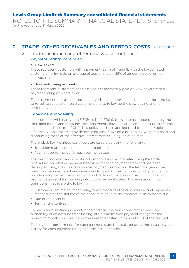NOTES TO THE SUMMARY FINANCIAL STATEMENTS CONTINUED for the year ended 31 March 2022

#### 2. TRADE, OTHER RECEIVABLES AND DEBTOR COSTS CONTINUED

#### 2.1 Trade, insurance and other receivables continued Payment ratings continued

#### **• Slow payers**

These represent customers with a payment rating of 7 and 8, with the lowest rated customers having paid an average of approximately 55% of amounts due over the contract period.

#### • Non-performing accounts

These represent customers not classified as Satisfactory paid or Slow payers with a payment rating of 6 and lower.

These payment ratings are used to categorise and report on customers at the store level to re-sell to satisfactory paid customers and to follow up the slow paying and nonperforming customers.

#### Impairment modelling

In accordance with paragraph 5.5.15(a)(ii) of IFRS 9, the group has elected to apply the simplified model and measures the impairment allowance at an amount equal to lifetime expected credit losses ("ECL"). This policy has been applied to all trade receivables. Lifetime ECL are assessed by determining cash flows on a probability-weighted basis and discounting these at the effective interest rate including initiation fees.

The probability-weighted cash flows are calculated using the following:

- Transition matrix and conditional probabilities.
- Payment performance for each payment state.

The transition matrix and conditional probabilities are calculated using the trade receivables population payment behaviour for each payment state and has been developed using the group's customer payment history over the last five years. The transition matrices have been developed for each of the countries which predicts the population's payment behaviour and probability of the account being in a particular payment state and transitioning into future payment states. The key states in the transitional matrix are the following:

- Customers' lifetime payment rating which measures the customers actual payments received over the lifetime of the account relative to the contractual instalments due.
- Age of the account.
- Term of the contract.

For each term, lifetime payment rating and age, the transitional matrix maps the probability of an account transitioning into future lifetime payment ratings for the remaining months on book. Cash flows are forecasted up to month 60 of the account.

The payment performance for each payment state is calculated using the actual payment history for each payment rating over the last 12 months.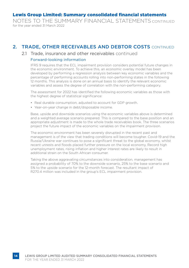NOTES TO THE SUMMARY FINANCIAL STATEMENTS CONTINUED for the year ended 31 March 2022

#### 2. TRADE, OTHER RECEIVABLES AND DEBTOR COSTS CONTINUED

#### 2.1 Trade, insurance and other receivables continued

#### Forward-looking information

IFRS 9 requires that the ECL impairment provision considers potential future changes in the economic environment. To achieve this, an economic overlay model has been developed by performing a regression analysis between key economic variables and the percentage of performing accounts rolling into non-performing states in the following 12 months. This analysis is done on an annual basis to identify the relevant economic variables and assess the degree of correlation with the non-performing category.

The assessment for 2022 has identified the following economic variables as those with the highest degree of statistical significance:

- Real durable consumption, adjusted to account for GDP growth.
- Year-on-year change in debt/disposable income.

Base, upside and downside scenarios using the economic variables above is determined and a weighted average scenario prepared. This is compared to the base position and an appropriate adjustment is made to the whole trade receivables book. The three scenarios project the future impact of the economic variables on the impairment provision.

The economic environment has been severely disrupted in the recent past and management is of the view that trading conditions will become tougher. Covid-19 and the Russia/Ukraine war continues to pose a significant threat to the global economy, whilst recent unrests and floods placed further pressure on the local economy. Record high unemployment rates, rising inflation and higher interest rates are likely to result in additional strain on the South African consumer.

Taking the above aggravating circumstances into consideration, management has assigned a probability of 70% to the downside scenario, 25% to the base scenario and 5% to the upside scenario for the 12-month forecast. The resultant impact of R270.4 million was included in the group's ECL impairment provision.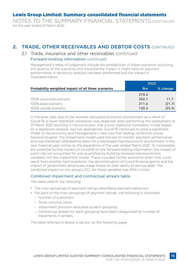NOTES TO THE SUMMARY FINANCIAL STATEMENTS CONTINUED for the year ended 31 March 2022

#### 2. TRADE, OTHER RECEIVABLES AND DEBTOR COSTS CONTINUED

#### 2.1 Trade, insurance and other receivables continued Forward-looking information continued

Management's areas of judgement include the probabilities of these scenarios occurring, the severity of the scenarios and the potential impact it might have on payment performance. A sensitivity analysis has been performed and the impact is illustrated below:

|                                                    |           | 2022     |
|----------------------------------------------------|-----------|----------|
| Probability-weighted impact of all three scenarios | <b>Rm</b> | % change |
|                                                    | 270.4     |          |
| 100% downside scenario                             | 302.1     | 11.7     |
| 100% base scenario                                 | 211.6     | (21.7)   |
| 100% upside scenario                               | 120.3     | (55.5)   |

In the prior year, due to the severely disrupted economic environment as a result of Covid-19, a lower statistical correlation was observed when performing this assessment at 31 March 2021 resulting in the conclusion that a pure statistical correlation model based on a regression analysis was not appropriate. Covid-19 continued to pose a significant threat to the economy and management's view was that trading conditions would become tougher. The impairment model used the last 12 months' payment performance and was therefore calibrated to allow for a distressed macroeconomic environment in the new financial year, similar to the experience of the year-ended March 2021. To incorporate the potential further impact of Covid-19 on the forward-looking information, the impact of event risk not accounted for was quantified by building stressed macroeconomic variables into the impairment model. These included further economic strain that could result from another hard lockdown, the discontinuation of Covid-19 social grants and the impact of government employees wage freeze on their ability to service debt. The combined impact on the group's ECL for these variables was R114.1 million.

#### Combined impairment and contractual arrears table

The table reflects the following:

- The main groupings of payment ratings describing payment behaviour.
- For each of the main groupings of payment ratings, the following is disclosed:
	- Number of customers.
	- Gross carrying value.
	- Impairment provision allocated to each grouping.
	- Contractual arrears for each grouping have been categorised by number of instalments in arrears.

The table referred to above is set out on the following page.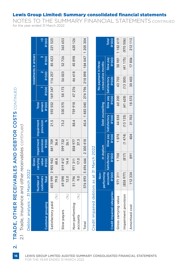## TRADE, OTHER RECEIVABLES AND DEBTOR COSTS CONTINUED **16**2. TRADE, OTHER RECEIVABLES AND DEBTOR COSTS CONTINUED  $\overline{\mathbf{N}}$

 $16$ 

Trade, insurance and other receivables continued 2.1 Trade, insurance and other receivables continued  $\overline{21}$ 

| ć      |
|--------|
| ı      |
|        |
|        |
| ï      |
|        |
| σ      |
|        |
|        |
|        |
| ř<br>5 |
|        |
| ı      |
| י      |
|        |
| ċ.     |
| ֘֝֕֕   |
| anal   |
|        |
|        |
|        |
|        |
|        |
|        |
|        |
| d      |
|        |
|        |
|        |

|                                   |                                               | Gross                     |                                                             |           |                                                            |              |                                      | Instalments in arrears |                    |
|-----------------------------------|-----------------------------------------------|---------------------------|-------------------------------------------------------------|-----------|------------------------------------------------------------|--------------|--------------------------------------|------------------------|--------------------|
| <b>Customer</b> grouping          | <b>Jumber of</b><br>customers<br><b>Total</b> | value<br><b>R'000</b>     | carrying Impairment Impairment<br>provision<br><b>R'000</b> | provision | <b>R'OOO</b><br>arrears<br><b>Total</b>                    | <b>R'000</b> | <b>R'OOO</b><br>$\mathbf{\tilde{c}}$ | <b>R'000</b>           | >5<br><b>R'000</b> |
| (%)<br>Satisfactory paid          | 79.0                                          | 455 999 3 905 943<br>68.6 | 36.6<br>841709                                              | 21.5      |                                                            |              | 592 552 169 347 116 257              | 85 423                 | 221525             |
| $(\%)$<br>Slow payers             | 69 098<br>12.0                                | 819 412<br>14.4           | 599 732<br>26.1                                             | 73.2      | 530 575                                                    | 58 173       | 56 023                               | 52726                  | 363653             |
| (%)<br>Non-performing<br>accounts | 51796<br>0.6                                  | 971311<br>17.0            | 37.3<br>858 977                                             | 88.4      | 759 918 47 276 46 618 45 898                               |              |                                      |                        | 620126             |
| Total                             |                                               |                           | 576 893 5 696 666 2 300 418                                 |           | 40.4   1 883 045   274 796   218 898   184 047   1 205 304 |              |                                      |                        |                    |

| )  |
|----|
| đ  |
|    |
|    |
|    |
| as |
|    |
|    |
|    |
|    |
|    |
|    |
|    |
|    |
|    |
|    |
|    |
|    |
|    |
|    |
|    |
|    |
|    |
| i  |
|    |
|    |
|    |

|                            | performing<br>$\frac{1}{2}$ | In duplum                             |              | <b>Debt counselling</b>               |              | No payment in three<br>consecutive months |                                 |                              |
|----------------------------|-----------------------------|---------------------------------------|--------------|---------------------------------------|--------------|-------------------------------------------|---------------------------------|------------------------------|
| Credit impaired categories | <b>R'000</b>                | accounts Satisfactory<br><b>R'000</b> | <b>R'000</b> | Slow pay Satisfactory<br><b>R'000</b> | <b>R'000</b> | Slow pay Satisfactory<br><b>R'000</b>     | <b>R'OOO</b><br><b>Zed MolS</b> | <b>R'000</b><br><b>Total</b> |
| Gross carrying value       | 971311                      | 1708                                  | 1878         | 44838                                 | 60 200       | 43703                                     |                                 | 58 981   1182619             |
| Impairment provision       | (858977)                    | (817)                                 | (1474)       | (13135)                               | (41628)      | (13300)                                   |                                 | $(41 175)$ (970 506)         |
| Amortised cost             | 112334                      | 891                                   | 404          | 31703                                 | 18572        | 30 403                                    | 17806                           | 212113                       |

#### Lewis Group Limited: Summary consolidated financial statements

NOTES TO THE SUMMARY FINANCIAL STATEMENTS CONTINUED for the year ended 31 March 2022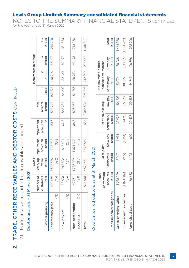# TRADE, OTHER RECEIVABLES AND DEBTOR COSTS CONTINUED 2. TRADE, OTHER RECEIVABLES AND DEBTOR COSTS CONTINUED

 $\overline{\mathbf{N}}$ 

Trade, insurance and other receivables continued 2.1 Trade, insurance and other receivables continued  $\frac{1}{2}$ 

| ٦                |
|------------------|
|                  |
| ?<br>?<br>)<br>] |
|                  |
|                  |
| 5                |
|                  |
| ਨੋ               |
|                  |
|                  |
| N                |
| J                |
| ı                |
| ŋ                |
|                  |
| Ī<br>į           |
|                  |
|                  |
| leue             |
|                  |
|                  |
|                  |
|                  |
| Š                |
|                  |
| )<br>2<br>2      |
| 5<br>₫           |
|                  |
| ١                |

| <b>R'OOO</b><br>207 567<br>88 177<br>60193<br><b>R'000</b><br>59 197<br>592 247   169 226   118 916  <br>242 299<br>62430<br>60953<br><b>R'000</b><br>295 793<br>64 802<br><b>R'000</b><br>61765<br>2056506<br>895977<br>568 282<br>arrears<br><b>R'000</b><br>Total<br>42.6<br>provision<br>20.7<br>86.5<br>carrying   Impairment   Impairment<br>×<br>67.5<br>provision<br>30.3<br>25.5<br>1071346<br>44.2<br>2 423 669<br><b>R'000</b><br>733 902<br>618421<br>value<br>5691437<br>1238029<br>3537586<br>62.2<br><b>R'OOO</b><br>915822<br>21.7<br>16.1<br>430 459<br>578818<br>Number of<br>78608<br>customers<br>74.4<br>13.6<br>69751<br>12.0<br>Total<br>$(\%)$<br>(%)<br>$(\%)$<br>Customer grouping<br>Satisfactory paid<br>Non-performing<br>Slow payers<br>accounts<br>Total |  | Gross |  |  | instalments in arrears |         |
|-----------------------------------------------------------------------------------------------------------------------------------------------------------------------------------------------------------------------------------------------------------------------------------------------------------------------------------------------------------------------------------------------------------------------------------------------------------------------------------------------------------------------------------------------------------------------------------------------------------------------------------------------------------------------------------------------------------------------------------------------------------------------------------------|--|-------|--|--|------------------------|---------|
|                                                                                                                                                                                                                                                                                                                                                                                                                                                                                                                                                                                                                                                                                                                                                                                         |  |       |  |  |                        | λý      |
|                                                                                                                                                                                                                                                                                                                                                                                                                                                                                                                                                                                                                                                                                                                                                                                         |  |       |  |  |                        | 215928  |
|                                                                                                                                                                                                                                                                                                                                                                                                                                                                                                                                                                                                                                                                                                                                                                                         |  |       |  |  |                        | 381853  |
|                                                                                                                                                                                                                                                                                                                                                                                                                                                                                                                                                                                                                                                                                                                                                                                         |  |       |  |  |                        | 713066  |
|                                                                                                                                                                                                                                                                                                                                                                                                                                                                                                                                                                                                                                                                                                                                                                                         |  |       |  |  |                        | 1310847 |

for the year ended 31 March 2022

### **31 March 2021** Credit impaired debtors as at 31 March 2021  $\frac{1}{\sqrt{2}}$ Credit impaired debtors as

| <u>ואמון המוני המוני המוני המוני המוני המוני המוני המוני המוני המוני המוני המוני המוני המוני המוני המוני המוני ה</u> |                          |                              |                          |                              |                          |                                           |                                 |                              |
|----------------------------------------------------------------------------------------------------------------------|--------------------------|------------------------------|--------------------------|------------------------------|--------------------------|-------------------------------------------|---------------------------------|------------------------------|
|                                                                                                                      | performing<br>Non-       | In duplum                    |                          | Debt counselling             |                          | No payment in three<br>consecutive months |                                 |                              |
| Credit impaired categories                                                                                           | accounts<br><b>R'OOO</b> | Satisfactory<br><b>R'000</b> | Slow pay<br><b>R'OOO</b> | Satisfactory<br><b>R'OOO</b> | slow pay<br><b>R'OOO</b> | Satisfactory<br><b>R'000</b>              | <b>R'OOO</b><br><b>Slow</b> pay | <b>R'OOO</b><br><b>Total</b> |
| Gross carrying value                                                                                                 | 1 238 029                | 2047                         | 1974                     | 32973                        | 56 203                   | 53074                                     | 80068                           | 1464368                      |
| Impairment provision                                                                                                 | (1071346)                | (939)                        | (1364)                   | (10496)                      | (35 820)                 | (18325)                                   |                                 | [53 172) (1 191 462)         |
| Amortised cost                                                                                                       | 166683                   | 1108                         | 610                      | 22 477                       | 20383                    | 34749                                     | 26896                           | 272906                       |

#### Lewis Group Limited: Summary consolidated financial statements

NOTES TO THE SUMMARY FINANCIAL STATEMENTS CONTINUED

LEWIS GROUP LIMITED AUDITED SUMMARY CONSOLIDATED FINANCIAL STATEMENTS FOR THE YEAR ENDED 31 MARCH 2022 **17**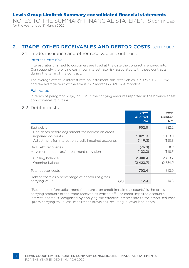NOTES TO THE SUMMARY FINANCIAL STATEMENTS CONTINUED for the year ended 31 March 2022

#### 2. TRADE, OTHER RECEIVABLES AND DEBTOR COSTS CONTINUED

#### 2.1 Trade, insurance and other receivables continued

#### Interest rate risk

Interest rates charged to customers are fixed at the date the contract is entered into. Consequently, there is no cash flow interest rate risk associated with these contracts during the term of the contract.

The average effective interest rate on instalment sale receivables is 19.6% (2021: 21.2%) and the average term of the sale is 32.7 months (2021: 32.4 months).

#### Fair value

In terms of paragraph 29(a) of IFRS 7, the carrying amounts reported in the balance sheet approximates fair value.

#### 2.2 Debtor costs

|                                                                                                                                | 2022<br><b>Audited</b><br>Rm | 2021<br>Audited<br><b>Rm</b> |
|--------------------------------------------------------------------------------------------------------------------------------|------------------------------|------------------------------|
| Bad debts                                                                                                                      | 902.0                        | 982.2                        |
| Bad debts before adjustment for interest on credit<br>impaired accounts<br>Adjustment for interest on credit impaired accounts | 1 0 2 1 . 3<br>(119.3)       | 1 1 3 3 . 0<br>(150.8)       |
| Bad debt recoveries<br>Movement in debtors' impairment provision                                                               | (76.3)<br>(123.3)            | (58.9)<br>(110.3)            |
| Closing balance<br>Opening balance                                                                                             | 2 300.4<br>(2423.7)          | 2423.7<br>(2534.0)           |
| Total debtor costs                                                                                                             | 702.4                        | 813.0                        |
| Debtor costs as a percentage of debtors at gross<br>carrying value<br>$(\% )$                                                  | 12.3                         | 14.3                         |

"Bad debts before adjustment for interest on credit impaired accounts" is the gross carrying amounts of the trade receivables written off. For credit impaired accounts, interest income is recognised by applying the effective interest rate to the amortised cost (gross carrying value less impairment provision), resulting in lower bad debts.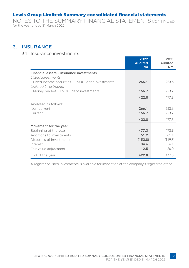NOTES TO THE SUMMARY FINANCIAL STATEMENTS CONTINUED for the year ended 31 March 2022

#### 3. INSURANCE

#### 3.1 Insurance investments

|                                                  | 2022<br><b>Audited</b><br><b>Rm</b> | 2021<br>Audited<br><b>Rm</b> |
|--------------------------------------------------|-------------------------------------|------------------------------|
| Financial assets - insurance investments         |                                     |                              |
| I isted investments                              |                                     |                              |
| Fixed income securities - FVOCI debt investments | 266.1                               | 253.6                        |
| Unlisted investments                             |                                     |                              |
| Money market - FVOCI debt investments            | 156.7                               | 223.7                        |
|                                                  | 422.8                               | 477.3                        |
| Analysed as follows:                             |                                     |                              |
| Non-current                                      | 266.1                               | 253.6                        |
| Current                                          | 156.7                               | 223.7                        |
|                                                  | 422.8                               | 477.3                        |
| Movement for the year                            |                                     |                              |
| Beginning of the year                            | 477.3                               | 473.9                        |
| Additions to investments                         | 51.2                                | 61.1                         |
| Disposals of investments                         | (152.8)                             | (119.8)                      |
| Interest                                         | 34.6                                | 36.1                         |
| Fair value adjustment                            | 12.5                                | 26.0                         |
| End of the year                                  | 422.8                               | 477.3                        |

A register of listed investments is available for inspection at the company's registered office.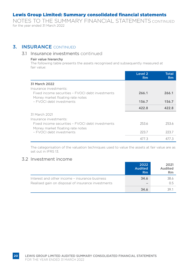NOTES TO THE SUMMARY FINANCIAL STATEMENTS CONTINUED for the year ended 31 March 2022

#### **3. INSURANCE CONTINUED**

#### 3.1 Insurance investments continued

#### Fair value hierarchy

The following table presents the assets recognised and subsequently measured at fair value:

|                                                                                      | Level 2<br>Rm | <b>Total</b><br>Rm |
|--------------------------------------------------------------------------------------|---------------|--------------------|
| 31 March 2022                                                                        |               |                    |
| Insurance investments:                                                               |               |                    |
| Fixed income securities - FVOCI debt investments<br>Money market floating rate notes | 266.1         | 266.1              |
| - EVOCL debt investments                                                             | 156.7         | 156.7              |
|                                                                                      | 422.8         | 422.8              |
| 31 March 2021                                                                        |               |                    |
| Insurance investments:                                                               |               |                    |
| Fixed income securities - FVOCI debt investments<br>Money market floating rate notes | 2536          | 2536               |
| - EVOCL debt investments                                                             | 223.7         | 223.7              |
|                                                                                      | 4773          | 477.3              |

The categorisation of the valuation techniques used to value the assets at fair value are as set out in IFRS 13.

#### 3.2 Investment income

|                                                                                                      | 2022<br><b>Audited</b><br>Rm | 2021<br>Audited<br>Rm |
|------------------------------------------------------------------------------------------------------|------------------------------|-----------------------|
| Interest and other income - insurance business<br>Realised gain on disposal of insurance investments | 34.6<br>-                    | 38.6<br>0.5           |
|                                                                                                      | 34.6                         | 39 1                  |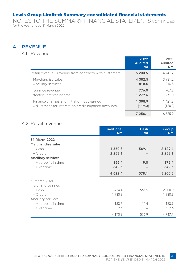NOTES TO THE SUMMARY FINANCIAL STATEMENTS CONTINUED for the year ended 31 March 2022

#### 4. REVENUE

#### 4.1 Revenue

|                                                        | 2022<br><b>Audited</b><br>Rm | 2021<br>Audited<br><b>Rm</b> |
|--------------------------------------------------------|------------------------------|------------------------------|
| Retail revenue - revenue from contracts with customers | 5 200.5                      | 4 7 4 7 .7                   |
| Merchandise sales                                      | 4 3 8 2 . 5                  | 3931.2                       |
| Ancillary services                                     | 818.0                        | 816.5                        |
| Insurance revenue                                      | 776.0                        | 707.2                        |
| Effective interest income                              | 1 279.6                      | 1 271.0                      |
| Finance charges and initiation fees earned             | 1 3 9 8 . 9                  | 1421.8                       |
| Adjustment for interest on credit impaired accounts    | (119.3)                      | (150.8)                      |
|                                                        | 7 256.1                      | 6725.9                       |

#### 4.2 Retail revenue

|                           | <b>Traditional</b><br>Rm | Cash<br>Rm | Group<br>Rm |
|---------------------------|--------------------------|------------|-------------|
| 31 March 2022             |                          |            |             |
| Merchandise sales         |                          |            |             |
| - Cash                    | 1 560.3                  | 569.1      | 2 1 2 9 . 4 |
| - Credit                  | 2 2 5 3 . 1              |            | 2 2 5 3 . 1 |
| <b>Ancillary services</b> |                          |            |             |
| - At a point in time      | 166.4                    | 9.0        | 175.4       |
| - Over time               | 642.6                    |            | 642.6       |
|                           | 4 622.4                  | 578.1      | 5 200.5     |
| 31 March 2021             |                          |            |             |
| Merchandise sales         |                          |            |             |
| - Cash                    | 1 4 3 4.4                | 566.5      | 2 000.9     |
| - Credit                  | 1 930.3                  |            | 1 930.3     |
| Ancillary services        |                          |            |             |
| - At a point in time      | 153.5                    | 10.4       | 163.9       |
| - Over time               | 652.6                    |            | 652.6       |
|                           | 4 170.8                  | 576.9      | 4 7 4 7 .7  |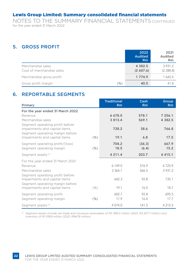NOTES TO THE SUMMARY FINANCIAL STATEMENTS CONTINUED for the year ended 31 March 2022

#### 5. GROSS PROFIT

**22**

|                                                | 2022<br><b>Audited</b><br>R <sub>m</sub> | 2021<br>Audited<br><b>Rm</b> |
|------------------------------------------------|------------------------------------------|------------------------------|
| Merchandise sales<br>Cost of merchandise sales | 4 3 8 2.5<br>(2,607.6)                   | 3931.2<br>(2, 288.8)         |
| Merchandise gross profit                       | 1 7 7 4 .9                               | 1 642.4                      |
| Gross profit margin<br>$(\%)$                  | 40.5                                     | 41.8                         |

#### 6. REPORTABLE SEGMENTS

| Primary                                                                                             |      | <b>Traditional</b><br>Rm | Cash<br>Rm      | Group<br>Rm   |
|-----------------------------------------------------------------------------------------------------|------|--------------------------|-----------------|---------------|
| For the year ended 31 March 2022                                                                    |      |                          |                 |               |
| Revenue                                                                                             |      | 6678.0                   | 578.1           | 7 256.1       |
| Merchandise sales                                                                                   |      | 3 8 1 3 . 4              | 569.1           | 4 3 8 2 . 5   |
| Segment operating profit before<br>impairments and capital items<br>Segment operating margin before |      | 728.2                    | 38.6            | 766.8         |
| impairments and capital items                                                                       | (%)  | 19.1                     | 6.8             | 17.5          |
| Segment operating profit/(loss)<br>Segment operating margin                                         | (%)  | 704.2<br>18.5            | (36.3)<br>(6.4) | 667.9<br>15.2 |
| Segment assets <sup>(1)</sup>                                                                       |      | 4 2 1 1 . 4              | 203.7           | 4415.1        |
| For the year ended 31 March 2021                                                                    |      |                          |                 |               |
| Revenue                                                                                             |      | 6149.0                   | 576.9           | 6725.9        |
| Merchandise sales                                                                                   |      | 3 3 6 4 .7               | 566.5           | 3931.2        |
| Segment operating profit before<br>impairments and capital items<br>Segment operating margin before |      | 642.3                    | 92.8            | 735.1         |
| impairments and capital items                                                                       | (% ) | 19.1                     | 16.4            | 18.7          |
| Segment operating profit<br>Segment operating margin                                                | (%)  | 602.7<br>17.9            | 92.8<br>16.4    | 695.5<br>17.7 |
| Segment assets <sup>(1)</sup>                                                                       |      | 4 0 7 4 0                | 141.5           | 4 2 1 5 .5    |

*(1) Segment assets include net trade and insurance receivables of R3 396.3 million (2021: R3 267.7 million) and inventory of R1 018.8 million (2021: R947.8 million).*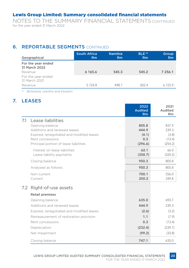NOTES TO THE SUMMARY FINANCIAL STATEMENTS CONTINUED for the year ended 31 March 2022

#### **6. REPORTABLE SEGMENTS CONTINUED**

| Geographical                        | <b>South Africa</b><br><b>Rm</b> | <b>Namibia</b><br>Rm | BLE <sup>(1)</sup><br>Rm | <b>Group</b><br>Rm |
|-------------------------------------|----------------------------------|----------------------|--------------------------|--------------------|
| For the year ended<br>31 March 2022 |                                  |                      |                          |                    |
| Revenue                             | 6 165.6                          | 545.3                | 545.2                    | 7 256.1            |
| For the year ended<br>31 March 2021 |                                  |                      |                          |                    |
| Revenue                             | 5724.8                           | 498.7                | 502.4                    | 67259              |

*(1) Botswana, Lesotho and Eswatini*

#### 7. LEASES

|     |                                           | 2022<br><b>Audited</b><br>Rm | 2021<br>Audited<br><b>Rm</b> |
|-----|-------------------------------------------|------------------------------|------------------------------|
| 7.1 | Lease liabilities                         |                              |                              |
|     | Opening balance                           | 805.8                        | 837.9                        |
|     | Additions and renewed leases              | 444.9                        | 239.3                        |
|     | Expired, renegotiated and modified leases | (4.1)                        | (3.8)                        |
|     | Rent concessions                          | 0.3                          | (13.4)                       |
|     | Principal portion of lease liabilities    | (296.6)                      | (254.2)                      |
|     | Interest on lease liabilities             | 62.1                         | 66.0                         |
|     | Lease liability payments                  | (358.7)                      | (320.2)                      |
|     | Closing balance                           | 950.3                        | 805.8                        |
|     | Analysed as follows:                      | 950.3                        | 805.8                        |
|     | Non-current                               | 700.1                        | 556.0                        |
|     | Current                                   | 250.2                        | 249.8                        |
| 7.2 | Right-of-use assets                       |                              |                              |
|     | <b>Retail premises</b>                    |                              |                              |
|     | Opening balance                           | 635.0                        | 693.7                        |
|     | Additions and renewed leases              | 444.9                        | 239.3                        |
|     | Expired, renegotiated and modified leases | (2.6)                        | (3.2)                        |
|     | Remeasurement of restoration provision    | 1.1                          | (7.9)                        |
|     | Rent concessions                          | 0.3                          | (13.4)                       |
|     | Depreciation                              | (232.4)                      | (239.7)                      |
|     | Net impairment                            | (99.2)                       | (33.8)                       |
|     | Closing balance                           | 747.1                        | 635.0                        |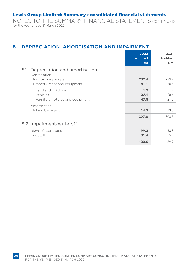NOTES TO THE SUMMARY FINANCIAL STATEMENTS CONTINUED for the year ended 31 March 2022

#### 8. DEPRECIATION, AMORTISATION AND IMPAIRMENT

|                                                                     | 2022<br><b>Audited</b><br>Rm | 2021<br>Audited<br><b>Rm</b> |
|---------------------------------------------------------------------|------------------------------|------------------------------|
| Depreciation and amortisation<br>8.1<br>Depreciation                |                              |                              |
| Right-of-use assets<br>Property, plant and equipment                | 232.4<br>81.1                | 239.7<br>50.6                |
| Land and buildings<br>Vehicles<br>Furniture, fixtures and equipment | 1.2<br>32.1<br>47.8          | 1.2<br>28.4<br>21.0          |
| Amortisation<br>Intangible assets                                   | 14.3                         | 13.0                         |
| 8.2 Impairment/write-off                                            | 327.8                        | 303.3                        |
| Right-of-use assets<br>Goodwill                                     | 99.2<br>31.4                 | 33.8<br>5.9                  |
|                                                                     | 130.6                        | 39.7                         |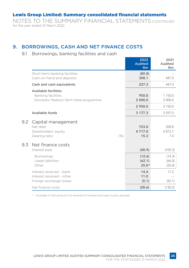NOTES TO THE SUMMARY FINANCIAL STATEMENTS CONTINUED for the year ended 31 March 2022

#### 9. BORROWINGS, CASH AND NET FINANCE COSTS

#### 9.1 Borrowings, banking facilities and cash

|               |                                                                                          | 2022<br><b>Audited</b><br>Rm | 2021<br>Audited<br><b>Rm</b> |
|---------------|------------------------------------------------------------------------------------------|------------------------------|------------------------------|
|               | Short-term banking facilities<br>Cash-on-hand and deposits                               | (80.8)<br>308.1              | 447.0                        |
|               | Cash and cash equivalents                                                                | 227.3                        | 447.0                        |
|               | <b>Available facilities</b><br>Banking facilities<br>Domestic Medium-Term Note programme | 950.0<br>2 000.0             | 1 1 5 0 . 0<br>2 000.0       |
|               |                                                                                          | 2 950.0                      | 3 150.0                      |
|               | Available funds                                                                          | 3 177.3                      | 3 597.0                      |
| $9.2^{\circ}$ | Capital management<br>Net debt<br>Shareholders' equity<br>Gearing ratio<br>(% )          | 723.0<br>4 717.0<br>15.3     | 358.8<br>4872.7<br>7.4       |
| 9.3           | Net finance costs<br>Interest paid                                                       | (48.9)                       | (105.3)                      |
|               | <b>Borrowings</b><br>Lease liabilities<br>Other                                          | (12.6)<br>(62.1)<br>$25.8*$  | (14.3)<br>(66.0)<br>(25.0)   |
|               | Interest received - bank<br>Interest received - other<br>Foreign exchange losses         | 14.4<br>11.0<br>(5.1)        | 17.2<br>(42.1)               |
|               | Net finance costs                                                                        | (28.6)                       | (130.2)                      |

*\* Included in this amount is a reversal of interest accrued in prior periods.*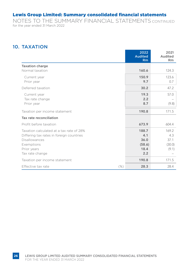NOTES TO THE SUMMARY FINANCIAL STATEMENTS CONTINUED for the year ended 31 March 2022

#### 10. TAXATION

|                                                                                                                                                              |     | 2022<br><b>Audited</b><br><b>Rm</b>           | 2021<br>Audited<br><b>Rm</b>            |
|--------------------------------------------------------------------------------------------------------------------------------------------------------------|-----|-----------------------------------------------|-----------------------------------------|
| <b>Taxation charge</b><br>Normal taxation                                                                                                                    |     | 160.6                                         | 124.3                                   |
| Current year<br>Prior year                                                                                                                                   |     | 150.9<br>9.7                                  | 123.6<br>0.7                            |
| Deferred taxation                                                                                                                                            |     | 30.2                                          | 47.2                                    |
| Current year<br>Tax rate change<br>Prior year                                                                                                                |     | 19.3<br>2.2<br>8.7                            | 57.0<br>(9.8)                           |
| Taxation per income statement                                                                                                                                |     | 190.8                                         | 171.5                                   |
| Tax rate reconciliation                                                                                                                                      |     |                                               |                                         |
| Profit before taxation                                                                                                                                       |     | 673.9                                         | 604.4                                   |
| Taxation calculated at a tax rate of 28%<br>Differing tax rates in foreign countries<br><b>Disallowances</b><br>Exemptions<br>Prior years<br>Tax rate change |     | 188.7<br>4.1<br>36.0<br>(58.6)<br>18.4<br>2.2 | 169.2<br>4.3<br>37.1<br>(30.0)<br>(9.1) |
| Taxation per income statement                                                                                                                                |     | 190.8                                         | 171.5                                   |
| Effective tax rate                                                                                                                                           | (%) | 28.3                                          | 28.4                                    |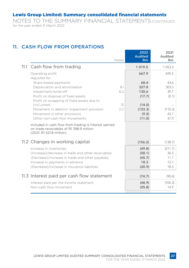NOTES TO THE SUMMARY FINANCIAL STATEMENTS CONTINUED for the year ended 31 March 2022

#### 11. CASH FLOW FROM OPERATIONS

|                                                                                                                                | <b>Notes</b> | 2022<br><b>Audited</b><br>Rm | 2021<br>Audited<br><b>Rm</b> |
|--------------------------------------------------------------------------------------------------------------------------------|--------------|------------------------------|------------------------------|
| 11.1 Cash flow from trading                                                                                                    |              | 1 0 1 9 .5                   | 1 0 5 3 . 3                  |
| Operating profit<br>Adiusted for:                                                                                              |              | 667.9                        | 695.5                        |
| Share-based payments                                                                                                           |              | 68.4                         | 43.6                         |
| Depreciation and amortisation                                                                                                  | 8.1          | 327.8                        | 303.3                        |
| Impairment/write-off                                                                                                           | 8.2          | 130.6                        | 39.7                         |
| Profit on disposal of fixed assets                                                                                             |              | (17.7)                       | (0.1)                        |
| Profit on scrapping of fixed assets due to                                                                                     |              |                              |                              |
| civil unrest                                                                                                                   | 13           | (14.0)                       |                              |
| Movement in debtors' impairment provision                                                                                      | 22           | (123.3)                      | (110.3)                      |
| Movement in other provisions                                                                                                   |              | (9.2)                        | 43.7                         |
| Other non-cash flow movements                                                                                                  |              | (11.0)                       | 37.9                         |
| Included in cash flow from trading is interest earned<br>on trade receivables of R1 398.9 million<br>(2021: R1 421.8 million). |              |                              |                              |
| 11.2 Changes in working capital                                                                                                |              | (156.2)                      | (138.7)                      |
| Increase in inventories                                                                                                        |              | (49.8)                       | (211.7)                      |
| (Increase)/decrease in trade and other receivables                                                                             |              | (58.1)                       | 30.3                         |
| (Decrease)/increase in trade and other payables                                                                                |              | (45.7)                       | 11.7                         |
| Increase in payments in advance                                                                                                |              | 18.3                         | 12.7                         |
| (Decrease)/increase in insurance liabilities                                                                                   |              | (20.9)                       | 18.3                         |
|                                                                                                                                |              |                              |                              |
| 11.3 Interest paid per cash flow statement                                                                                     |              | (74.7)                       | (90.4)                       |
| Interest paid per the income statement                                                                                         |              | (48.9)                       | (105.3)                      |
| Non-cash flow movement                                                                                                         |              | (25.8)                       | 14.9                         |
|                                                                                                                                |              |                              |                              |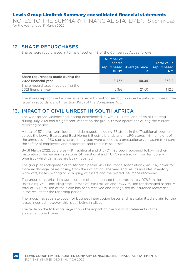NOTES TO THE SUMMARY FINANCIAL STATEMENTS CONTINUED for the year ended 31 March 2022

#### 12. SHARE REPURCHASES

Shares were repurchased in terms of section 48 of the Companies Act as follows:

|                                                          | Number of<br>shares<br>000's | repurchased Average price<br>R | <b>Total value</b><br>repurchased<br>Rm |
|----------------------------------------------------------|------------------------------|--------------------------------|-----------------------------------------|
| Share repurchases made during the<br>2022 financial year | 8756                         | 40.34                          | 353.2                                   |
| Share repurchases made during the<br>2021 financial year | 5363                         | 21.00                          | 1126                                    |

The shares repurchased above have reverted to authorised but unissued equity securities of the issuer in accordance with section 35(5) of the Companies Act.

#### 13. IMPACT OF CIVIL UNREST IN SOUTH AFRICA

The widespread violence and looting experienced in KwaZulu-Natal and parts of Gauteng during July 2021 had a significant impact on the group's store operations during the current reporting period.

A total of 57 stores were looted and damaged, including 53 stores in the 'Traditional' segment across the Lewis, Beares and Best Home & Electric brands and 4 UFO stores. At the height of the unrest, over 260 stores across the group were closed as a precautionary measure to ensure the safety of employees and customers, and to minimise losses.

By 31 March 2022, 52 stores (49 Traditional and 3 UFO) had been reopened following their restoration. The remaining 5 stores (4 Traditional and 1 UFO) are trading from temporary premises whilst damages are being repaired.

The group has adequate South African Special Risks Insurance Association (SASRIA) cover for material damage losses arising from the riot action. The year-end results includes inventory write-offs, losses relating to scrapping of assets and the related insurance recoveries.

The group's material damage insurance claim amounted to approximately R78.8 million (excluding VAT), including stock losses of R48.1 million and R30.7 million for damaged assets. A total of R71.9 million of the claim has been received and recognised as insurance recoveries in the results for the reporting period.

The group has separate cover for business interruption losses and has submitted a claim for the losses incurred, however, this is still being finalised.

The table on the following page shows the impact on the financial statements of the abovementioned items.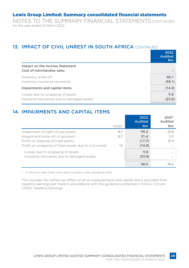NOTES TO THE SUMMARY FINANCIAL STATEMENTS CONTINUED for the year ended 31 March 2022

#### 13. IMPACT OF CIVIL UNREST IN SOUTH AFRICA CONTINUED

|                                                                                 | 2022<br><b>Audited</b><br>Rm |
|---------------------------------------------------------------------------------|------------------------------|
| Impact on the Income Statement<br>Cost of merchandise sales                     |                              |
| Inventory write-off<br>Inventory insurance recoveries                           | 48.1<br>(48.1)               |
| Impairments and capital items                                                   | (14.0)                       |
| Losses due to scrapping of assets<br>Insurance recoveries due to damaged assets | 9.8<br>(23.8)                |

#### 14. IMPAIRMENTS AND CAPITAL ITEMS

|                                                         |       | 2022<br><b>Audited</b> | $2021*$<br>Audited |
|---------------------------------------------------------|-------|------------------------|--------------------|
|                                                         | Notes | Rm                     | <b>Rm</b>          |
| Impairment of right-of-use assets                       | 8.2   | 99.2                   | 33.8               |
| Impairment/write-off of goodwill                        | 8.2   | 31.4                   | 5.9                |
| Profit on disposal of fixed assets                      |       | (17.7)                 | (0.1)              |
| Profit on scrapping of fixed assets due to civil unrest | 13    | (14.0)                 |                    |
| Losses due to scrapping of assets                       |       | 9.8                    |                    |
| Insurance recoveries due to damaged assets              |       | (23.8)                 |                    |
|                                                         |       | 98.9                   | 39.6               |

*\* In the prior year, these costs were included under operating costs.*

This includes the before tax effect of all re-measurements and capital items excluded from headline earnings per share in accordance with the guidance contained in SAICA Circular 1/2021: Headline Earnings.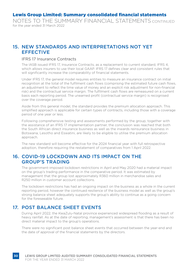NOTES TO THE SUMMARY FINANCIAL STATEMENTS CONTINUED for the year ended 31 March 2022

#### 15. NEW STANDARDS AND INTERPRETATIONS NOT YET **EFFECTIVE**

#### IFRS 17 Insurance Contracts

The IASB issued IFRS 17, Insurance Contracts, as a replacement to current standard, IFRS 4, which allows insurers to use their local GAAP. IFRS 17 defines clear and consistent rules that will significantly increase the comparability of financial statements.

Under IFRS 17, the general model requires entities to measure an insurance contract on initial recognition at the total of the fulfilment cash flows (comprising the estimated future cash flows, an adjustment to reflect the time value of money and an explicit risk adjustment for non-financial risk) and the contractual service margin. The fulfilment cash flows are remeasured on a current basis each reporting period. The unearned profit (contractual service margin) is recognised over the coverage period.

Aside from this general model, the standard provides the premium allocation approach. This simplified approach is applicable for certain types of contracts, including those with a coverage period of one year or less.

Following comprehensive testing and assessments performed by the group, together with the assistance of an IFRS 17 implementation partner, the conclusion was reached that both the South African direct insurance business as well as the inwards reinsurance business in Botswana, Lesotho and Eswatini, are likely to be eligible to utilise the premium allocation approach.

The new standard will become effective for the 2024 financial year with full retrospective adoption, therefore requiring the restatement of comparatives from 1 April 2022.

#### 16. COVID-19 LOCKDOWN AND ITS IMPACT ON THE GROUP'S TRADING

The government-imposed lockdown restrictions in April and May 2020 had a material impact on the group's trading performance in the comparative period. It was estimated by management that the group lost approximately R360 million in merchandise sales and R250 million in customer account collections.

The lockdown restrictions has had an ongoing impact on the business as a whole in the current reporting period, however the continued resilience of the business model as well as the group's strong balance sheet adequately supports the group's ability to continue as a going concern for the foreseeable future.

#### 17. POST BALANCE SHEET EVENTS

During April 2022, the KwaZulu-Natal province experienced widespread flooding as a result of heavy rainfall. As at the date of reporting, management's assessment is that there has been no direct material impact to the group's operations.

There were no significant post balance sheet events that occurred between the year-end and the date of approval of the financial statements by the directors.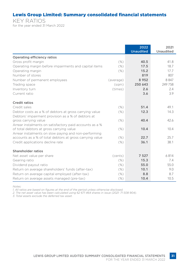KEY RATIOS for the year ended 31 March 2022

|                                                                                              |           | 2022<br><b>Unaudited</b> | 2021<br><b>Unaudited</b> |
|----------------------------------------------------------------------------------------------|-----------|--------------------------|--------------------------|
| Operating efficiency ratios                                                                  |           |                          |                          |
| Gross profit margin                                                                          | (%)       | 40.5                     | 41.8                     |
| Operating margin before impairments and capital items                                        | (%)       | 17.5                     | 18.7                     |
| Operating margin                                                                             | (%)       | 15.2                     | 17.7                     |
| Number of stores                                                                             |           | 819                      | 807                      |
| Number of permanent employees                                                                | (average) | 8952                     | 8847                     |
| Trading space                                                                                | (sqm)     | 250 643                  | 249758                   |
| Inventory turn                                                                               | (times)   | 2.6                      | 2.4                      |
| Current ratio                                                                                |           | 3.6                      | 3.9                      |
| Credit ratios                                                                                |           |                          |                          |
| Credit sales                                                                                 | (%)       | 51.4                     | 49.1                     |
| Debtor costs as a % of debtors at gross carrying value                                       | (%)       | 12.3                     | 14.3                     |
| Debtors' impairment provision as a % of debtors at                                           |           |                          |                          |
| gross carrying value                                                                         | (%)       | 40.4                     | 42.6                     |
| Arrear instalments on satisfactory paid accounts as a %                                      |           |                          |                          |
| of total debtors at gross carrying value                                                     | (%)       | 10.4                     | 10.4                     |
| Arrear instalments on slow paying and non-performing                                         | (% )      | 22.7                     | 25.7                     |
| accounts as a % of total debtors at gross carrying value<br>Credit applications decline rate | $(\%)$    | 36.1                     | 38.1                     |
|                                                                                              |           |                          |                          |
| Shareholder ratios                                                                           |           |                          |                          |
| Net asset value per share                                                                    | (cents)   | 7 5 2 7                  | 6814                     |
| Gearing ratio                                                                                | (%)       | 15.3                     | 7.4                      |
| Dividend payout ratio                                                                        | (%)       | 55.0                     | 55.0                     |
| Return on average shareholders' funds (after-tax)                                            | (% )      | 10.1                     | 9.0                      |
| Return on average capital employed (after-tax)                                               | (%)       | 8.8                      | 8.7                      |
| Return on average assets managed (pre-tax)                                                   | (%)       | 10.4                     | 10.5                     |

*Notes:*

*1. All ratios are based on figures at the end of the period unless otherwise disclosed. 2. The net asset value has been calculated using 62 671 464 shares in issue (2021: 71 508 904).*

*3. Total assets exclude the deferred tax asset.*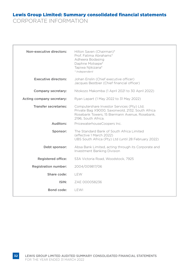CORPORATE INFORMATION

| Non-executive directors:     | Hilton Saven (Chairman)*<br>Prof. Fatima Abrahams*<br>Adheera Bodasing<br>Daphne Motsepe*<br>Tapiwa Njikizana*<br>* Independent                                         |
|------------------------------|-------------------------------------------------------------------------------------------------------------------------------------------------------------------------|
| Executive directors:         | Johan Enslin (Chief executive officer)<br>Jacques Bestbier (Chief financial officer)                                                                                    |
| Company secretary:           | Ntokozo Makomba (1 April 2021 to 30 April 2022)                                                                                                                         |
| Acting company secretary:    | Ryan Lepart (1 May 2022 to 31 May 2022)                                                                                                                                 |
| <b>Transfer secretaries:</b> | Computershare Investor Services (Pty) Ltd;<br>Private Bag X9000, Saxonwold, 2132, South Africa<br>Rosebank Towers, 15 Biermann Avenue, Rosebank,<br>2196. South Africa. |
| Auditors:                    | PricewaterhouseCoopers Inc.                                                                                                                                             |
| Sponsor:                     | The Standard Bank of South Africa Limited<br>(effective 1 March 2022)<br>UBS South Africa (Pty) Ltd (until 28 February 2022)                                            |
| Debt sponsor:                | Absa Bank Limited, acting through its Corporate and<br><b>Investment Banking Division</b>                                                                               |
| Registered office:           | 53A Victoria Road, Woodstock, 7925                                                                                                                                      |
| Registration number:         | 2004/009817/06                                                                                                                                                          |
| Share code:                  | I FW                                                                                                                                                                    |
| ISIN:                        | ZAF 000058236                                                                                                                                                           |
| Bond code:                   | I FWI                                                                                                                                                                   |